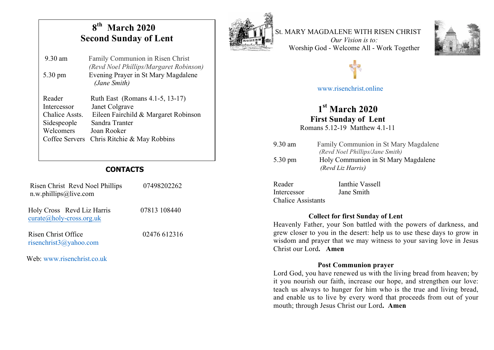## **8th March 2020 Second Sunday of Lent**

*(Revd Noel Phillips/Margaret Robinson)* 

9.30 am Family Communion in Risen Christ

5.30 pm Evening Prayer in St Mary Magdalene

 *(Jane Smith)*



St. MARY MAGDALENE WITH RISEN CHRIST *Our Vision is to:*





# www.risenchrist.online

# **1st March 2020**

 **First Sunday of Lent** Romans 5.12-19 Matthew 4.1-11

| $9.30$ am         | Family Communion in St Mary Magdalene<br>(Revd Noel Phillips/Jane Smith) |
|-------------------|--------------------------------------------------------------------------|
| $5.30 \text{ pm}$ | Holy Communion in St Mary Magdalene<br>(Revd Liz Harris)                 |
| Reader            | Ianthie Vassell                                                          |

| Reader                    | Tanthie Vassell |
|---------------------------|-----------------|
| Intercessor               | Jane Smith      |
| <b>Chalice Assistants</b> |                 |

#### **Collect for first Sunday of Lent**

Heavenly Father, your Son battled with the powers of darkness, and grew closer to you in the desert: help us to use these days to grow in wisdom and prayer that we may witness to your saving love in Jesus Christ our Lord**. Amen**

#### **Post Communion prayer**

Lord God, you have renewed us with the living bread from heaven; by it you nourish our faith, increase our hope, and strengthen our love: teach us always to hunger for him who is the true and living bread, and enable us to live by every word that proceeds from out of your mouth; through Jesus Christ our Lord**. Amen**

Reader Ruth East (Romans 4.1-5, 13-17) Intercessor Janet Colgrave Chalice Assts. Eileen Fairchild & Margaret Robinson Sidespeople Sandra Tranter Welcomers Joan Rooker Coffee Servers Chris Ritchie & May Robbins

### **CONTACTS**

| Risen Christ Revd Noel Phillips<br>$n.w.$ phillips@live.com | 07498202262  |
|-------------------------------------------------------------|--------------|
| Holy Cross Revd Liz Harris<br>$curate@holy-cross.org.uk$    | 07813 108440 |
| Risen Christ Office<br>risenchrist $3@yahoo.com$            | 02476 612316 |

Web: www.risenchrist.co.uk